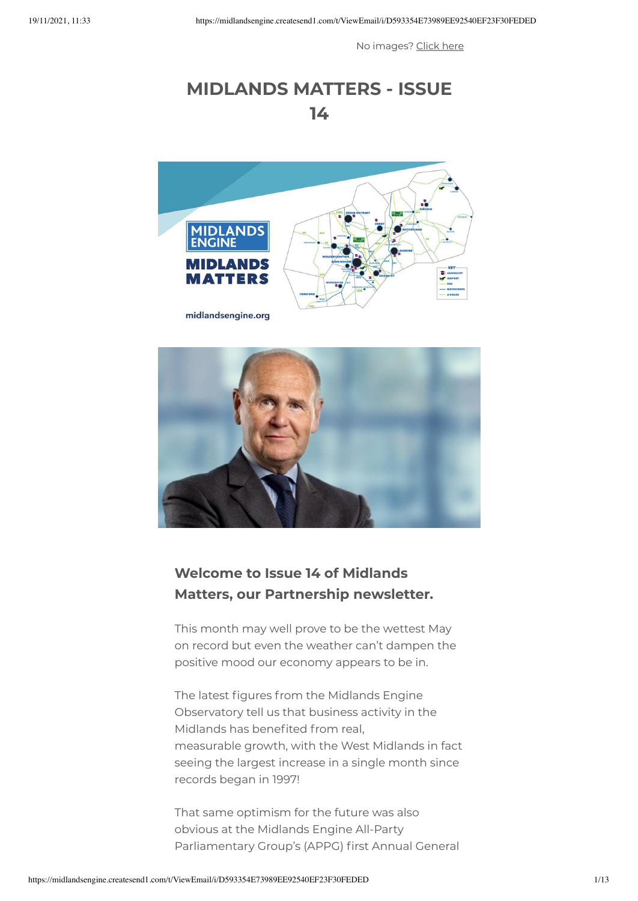No images? [Click](https://midlandsengine.createsend1.com/t/i-e-mulklg-l-x/) here

# **MIDLANDS MATTERS - ISSUE 14**



#### **Welcome to Issue 14 of Midlands Matters, our Partnership newsletter.**

This month may well prove to be the wettest May on record but even the weather can't dampen the positive mood our economy appears to be in.

The latest figures from the Midlands Engine Observatory tell us that business activity in the Midlands has benefited from real, measurable growth, with the West Midlands in fact seeing the largest increase in a single month since records began in 1997!

That same optimism for the future was also obvious at the Midlands Engine All-Party Parliamentary Group's (APPG) first Annual General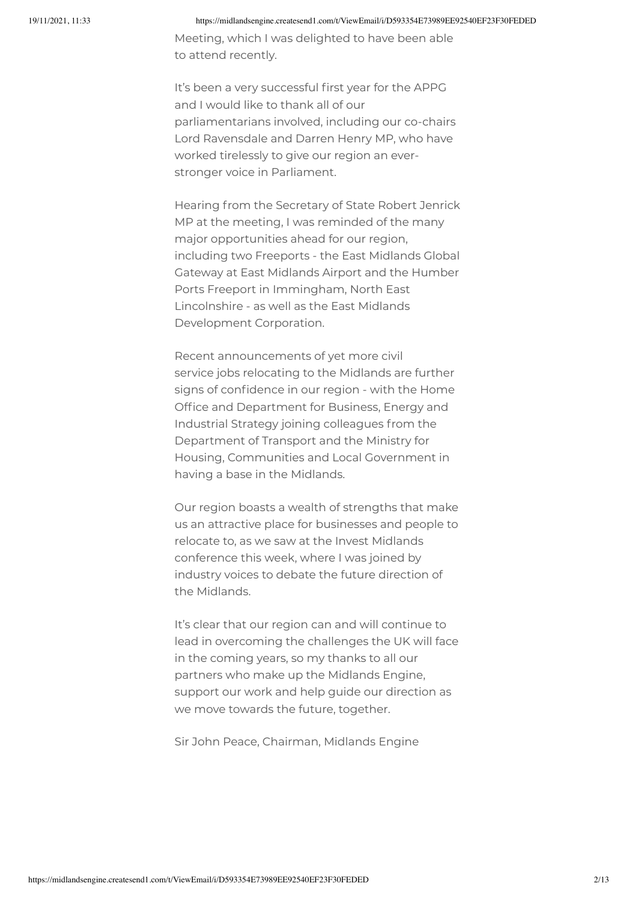Meeting, which I was delighted to have been able to attend recently.

It's been a very successful first year for the APPG and I would like to thank all of our parliamentarians involved, including our co-chairs Lord Ravensdale and Darren Henry MP, who have worked tirelessly to give our region an everstronger voice in Parliament.

Hearing from the Secretary of State Robert Jenrick MP at the meeting, I was reminded of the many major opportunities ahead for our region, including two Freeports - the East Midlands Global Gateway at East Midlands Airport and the Humber Ports Freeport in Immingham, North East Lincolnshire - as well as the East Midlands Development Corporation.

Recent announcements of yet more civil service jobs relocating to the Midlands are further signs of confidence in our region - with the Home Office and Department for Business, Energy and Industrial Strategy joining colleagues from the Department of Transport and the Ministry for Housing, Communities and Local Government in having a base in the Midlands.

Our region boasts a wealth of strengths that make us an attractive place for businesses and people to relocate to, as we saw at the Invest Midlands conference this week, where I was joined by industry voices to debate the future direction of the Midlands.

It's clear that our region can and will continue to lead in overcoming the challenges the UK will face in the coming years, so my thanks to all our partners who make up the Midlands Engine, support our work and help guide our direction as we move towards the future, together.

Sir John Peace, Chairman, Midlands Engine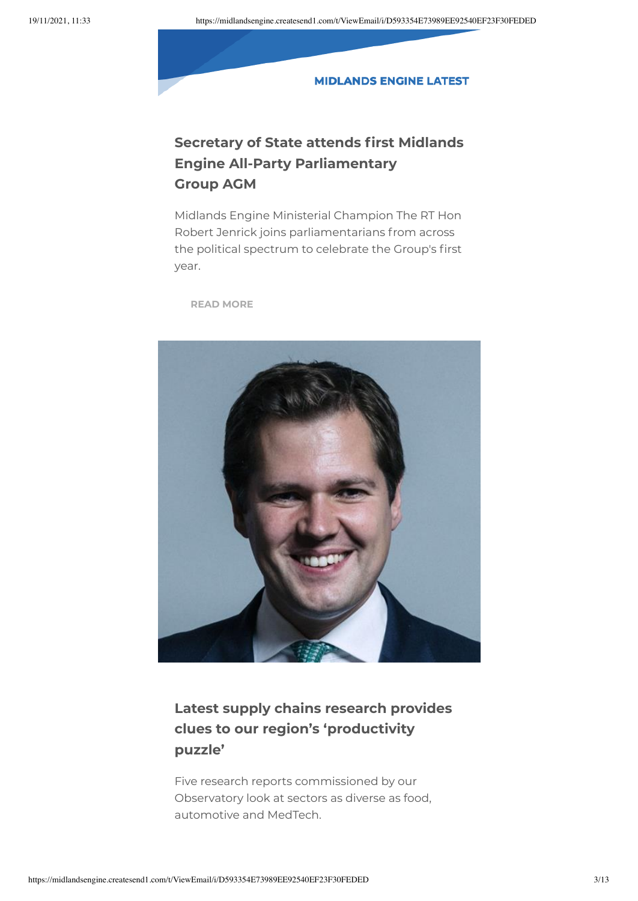#### **MIDLANDS ENGINE LATEST**

## **Secretary of State attends first Midlands Engine All-Party Parliamentary Group AGM**

Midlands Engine Ministerial Champion The RT Hon Robert Jenrick joins parliamentarians from across the political spectrum to celebrate the Group's first year.

**READ [MORE](https://midlandsengine.createsend1.com/t/i-i-mulklg-l-y/)**



## **Latest supply chains research provides clues to our region's 'productivity puzzle'**

Five research reports commissioned by our Observatory look at sectors as diverse as food, automotive and MedTech.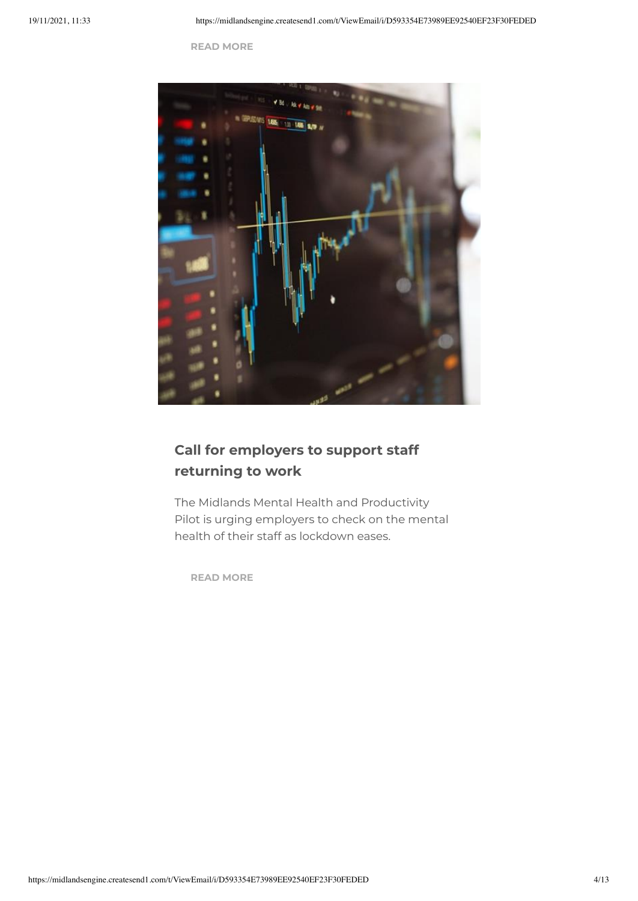**READ [MORE](https://midlandsengine.createsend1.com/t/i-i-mulklg-l-j/)**



## **Call for employers to support staff returning to work**

The Midlands Mental Health and Productivity Pilot is urging employers to check on the mental health of their staff as lockdown eases.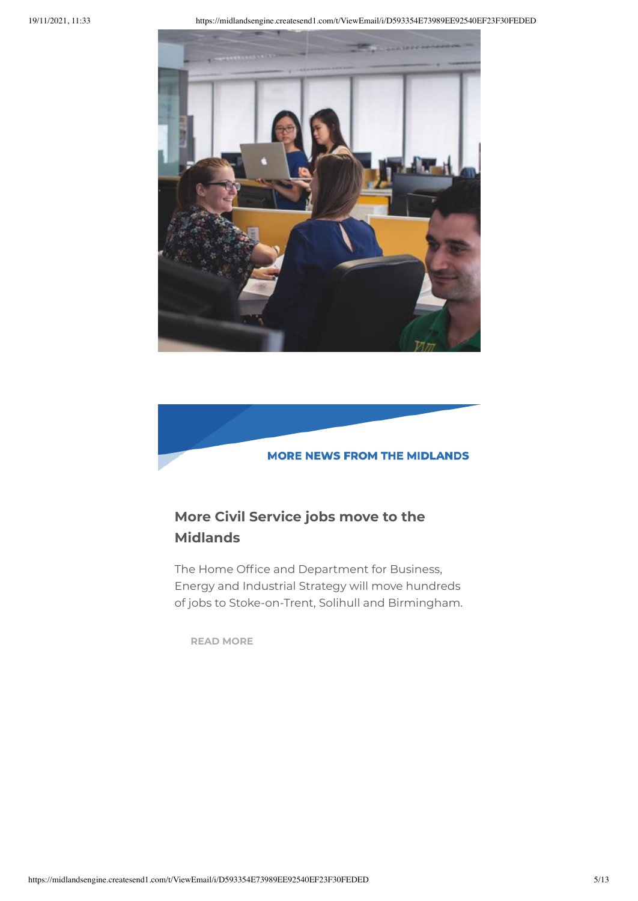



## **More Civil Service jobs move to the Midlands**

The Home Office and Department for Business, Energy and Industrial Strategy will move hundreds of jobs to Stoke-on-Trent, Solihull and Birmingham.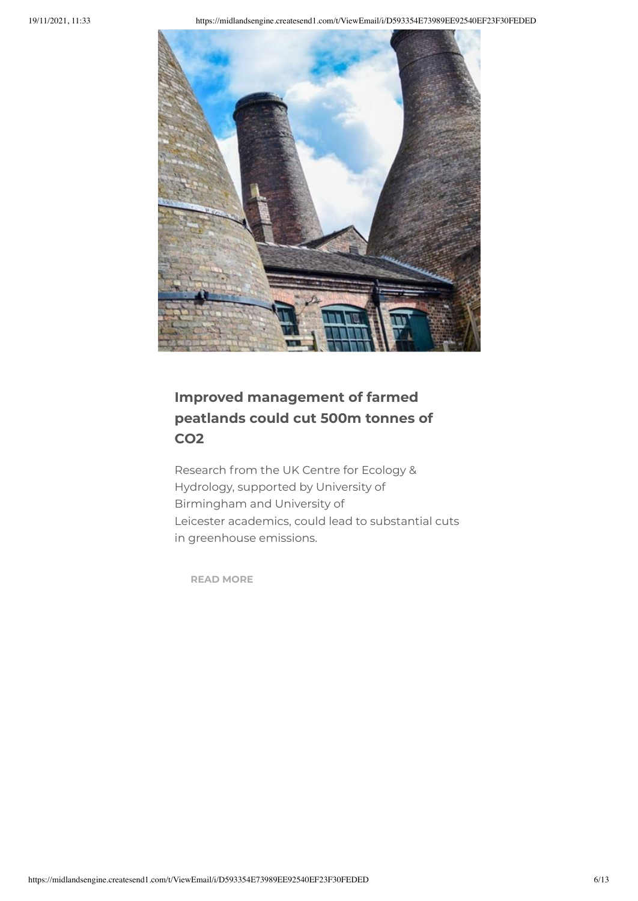

# **Improved management of farmed peatlands could cut 500m tonnes of CO2**

Research from the UK Centre for Ecology & Hydrology, supported by University of Birmingham and University of Leicester academics, could lead to substantial cuts in greenhouse emissions.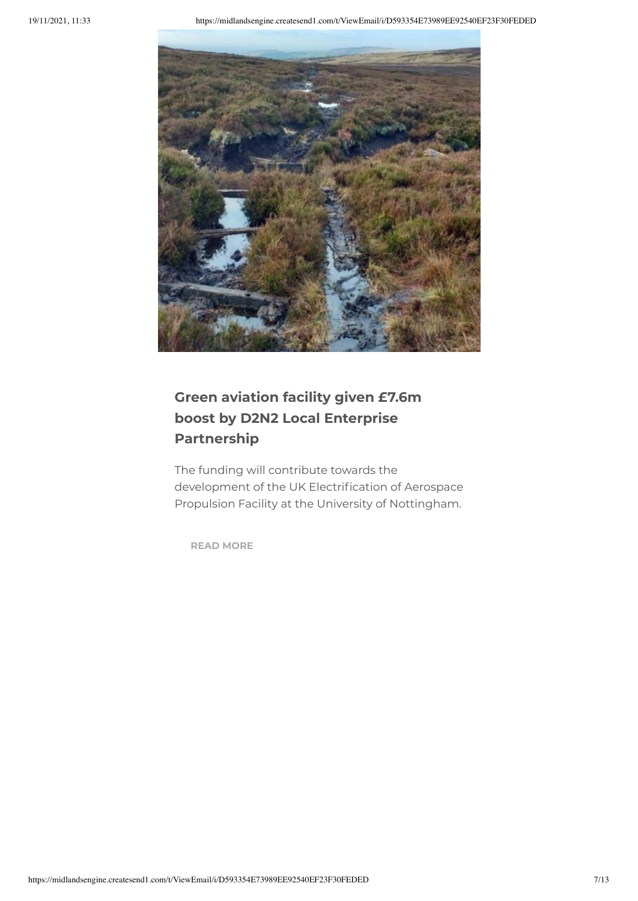

# **Green aviation facility given £7.6m boost by D2N2 Local Enterprise Partnership**

The funding will contribute towards the development of the UK Electrification of Aerospace Propulsion Facility at the University of Nottingham.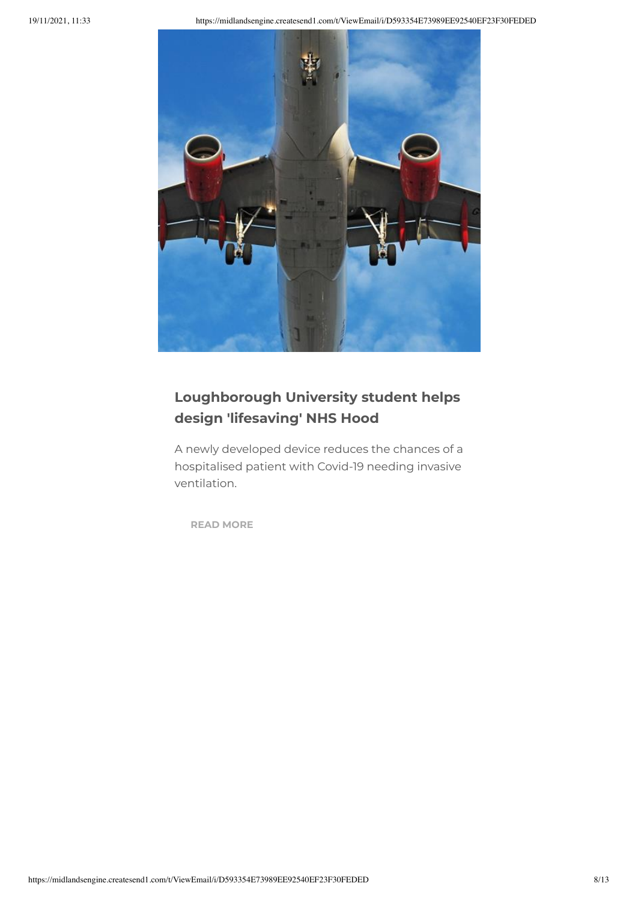

# **Loughborough University student helps design 'lifesaving' NHS Hood**

A newly developed device reduces the chances of a hospitalised patient with Covid-19 needing invasive ventilation.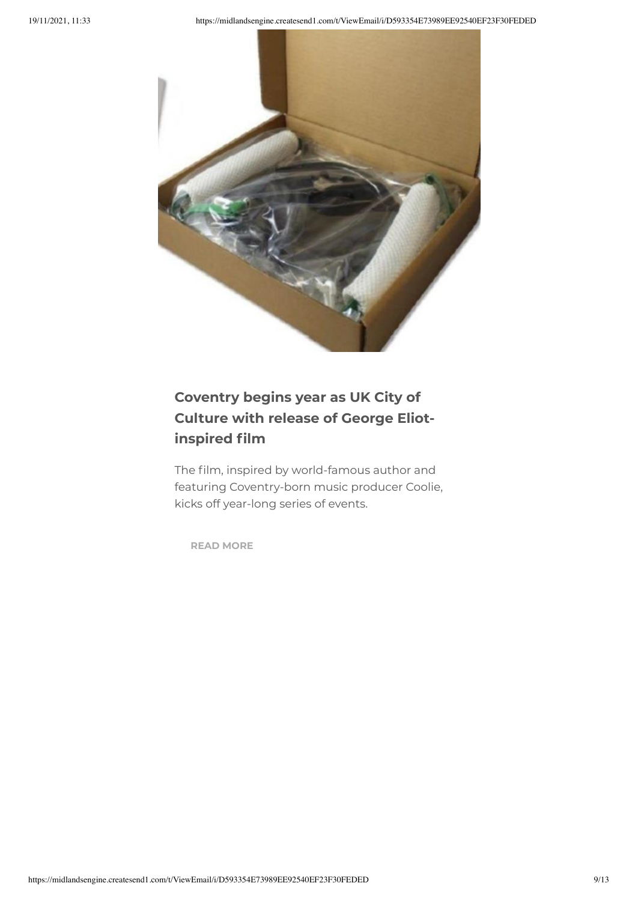

# **Coventry begins year as UK City of Culture with release of George Eliotinspired film**

The film, inspired by world-famous author and featuring Coventry-born music producer Coolie, kicks off year-long series of events.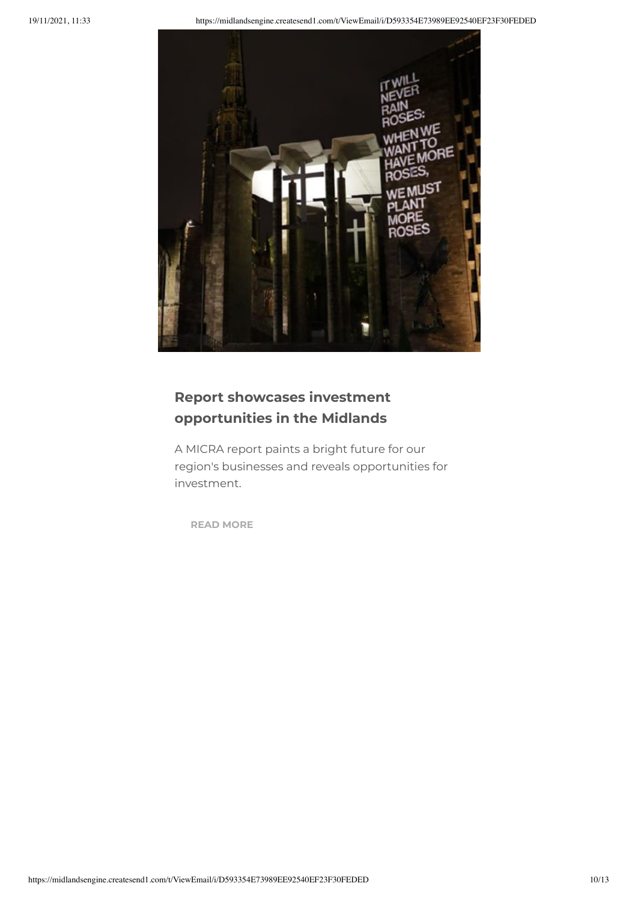

## **Report showcases investment opportunities in the Midlands**

A MICRA report paints a bright future for our region's businesses and reveals opportunities for investment.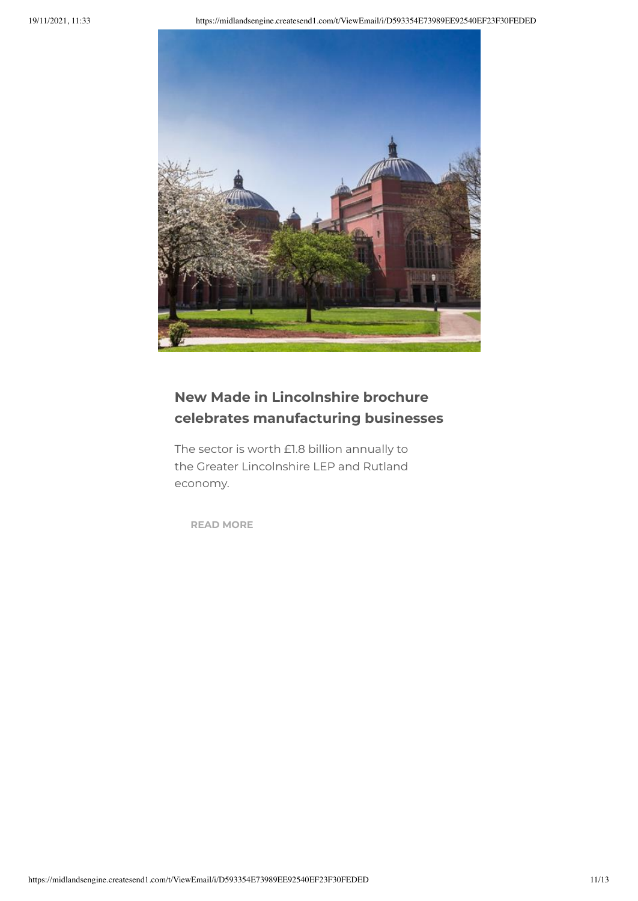

## **New Made in Lincolnshire brochure celebrates manufacturing businesses**

The sector is worth £1.8 billion annually to the Greater Lincolnshire LEP and Rutland economy.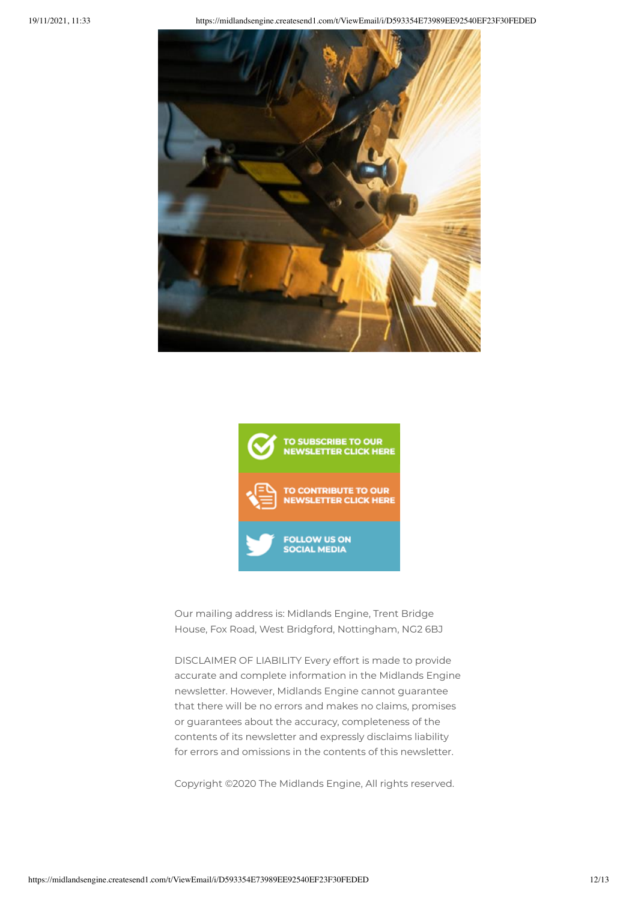



Our mailing address is: Midlands Engine, Trent Bridge House, Fox Road, West Bridgford, Nottingham, NG2 6BJ

DISCLAIMER OF LIABILITY Every effort is made to provide accurate and complete information in the Midlands Engine newsletter. However, Midlands Engine cannot guarantee that there will be no errors and makes no claims, promises or guarantees about the accuracy, completeness of the contents of its newsletter and expressly disclaims liability for errors and omissions in the contents of this newsletter.

Copyright ©2020 The Midlands Engine, All rights reserved.